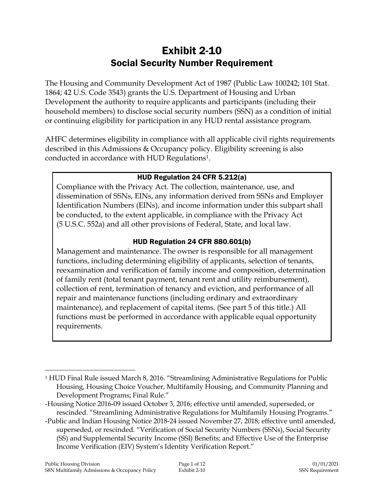# Exhibit 2-10 Social Security Number Requirement

The Housing and Community Development Act of 1987 (Public Law 100242; 101 Stat. 1864; 42 U.S. Code 3543) grants the U.S. Department of Housing and Urban Development the authority to require applicants and participants (including their household members) to disclose social security numbers (SSN) as a condition of initial or continuing eligibility for participation in any HUD rental assistance program.

AHFC determines eligibility in compliance with all applicable civil rights requirements described in this Admissions & Occupancy policy. Eligibility screening is also conducted in accordance with HUD Regulations1.

#### HUD Regulation 24 CFR 5.212(a)

Compliance with the Privacy Act. The collection, maintenance, use, and dissemination of SSNs, EINs, any information derived from SSNs and Employer Identification Numbers (EINs), and income information under this subpart shall be conducted, to the extent applicable, in compliance with the Privacy Act (5 U.S.C. 552a) and all other provisions of Federal, State, and local law.

## HUD Regulation 24 CFR 880.601(b)

Management and maintenance. The owner is responsible for all management functions, including determining eligibility of applicants, selection of tenants, reexamination and verification of family income and composition, determination of family rent (total tenant payment, tenant rent and utility reimbursement), collection of rent, termination of tenancy and eviction, and performance of all repair and maintenance functions (including ordinary and extraordinary maintenance), and replacement of capital items. (See part 5 of this title.) All functions must be performed in accordance with applicable equal opportunity requirements.

 $\overline{a}$ 

<sup>1</sup> HUD Final Rule issued March 8, 2016. "Streamlining Administrative Regulations for Public Housing, Housing Choice Voucher, Multifamily Housing, and Community Planning and Development Programs; Final Rule."

<sup>-</sup>Housing Notice 2016-09 issued October 3, 2016; effective until amended, superseded, or rescinded. "Streamlining Administrative Regulations for Multifamily Housing Programs."

<sup>-</sup>Public and Indian Housing Notice 2018-24 issued November 27, 2018; effective until amended, superseded, or rescinded. "Verification of Social Security Numbers (SSNs), Social Security (SS) and Supplemental Security Income (SSI) Benefits; and Effective Use of the Enterprise Income Verification (EIV) System's Identity Verification Report."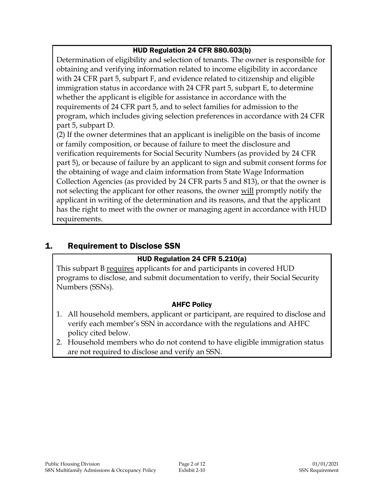## HUD Regulation 24 CFR 880.603(b)

Determination of eligibility and selection of tenants. The owner is responsible for obtaining and verifying information related to income eligibility in accordance with 24 CFR part 5, subpart F, and evidence related to citizenship and eligible immigration status in accordance with 24 CFR part 5, subpart E, to determine whether the applicant is eligible for assistance in accordance with the requirements of 24 CFR part 5, and to select families for admission to the program, which includes giving selection preferences in accordance with 24 CFR part 5, subpart D.

(2) If the owner determines that an applicant is ineligible on the basis of income or family composition, or because of failure to meet the disclosure and verification requirements for Social Security Numbers (as provided by 24 CFR part 5), or because of failure by an applicant to sign and submit consent forms for the obtaining of wage and claim information from State Wage Information Collection Agencies (as provided by 24 CFR parts 5 and 813), or that the owner is not selecting the applicant for other reasons, the owner will promptly notify the applicant in writing of the determination and its reasons, and that the applicant has the right to meet with the owner or managing agent in accordance with HUD requirements.

## 1. Requirement to Disclose SSN

#### HUD Regulation 24 CFR 5.210(a)

This subpart B requires applicants for and participants in covered HUD programs to disclose, and submit documentation to verify, their Social Security Numbers (SSNs).

- 1. All household members, applicant or participant, are required to disclose and verify each member's SSN in accordance with the regulations and AHFC policy cited below.
- 2. Household members who do not contend to have eligible immigration status are not required to disclose and verify an SSN.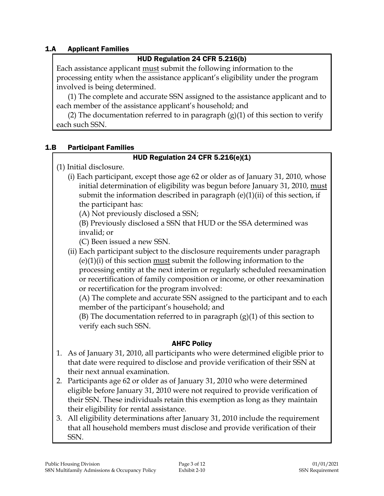#### 1.A Applicant Families

#### HUD Regulation 24 CFR 5.216(b)

Each assistance applicant must submit the following information to the processing entity when the assistance applicant's eligibility under the program involved is being determined.

(1) The complete and accurate SSN assigned to the assistance applicant and to each member of the assistance applicant's household; and

(2) The documentation referred to in paragraph  $(g)(1)$  of this section to verify each such SSN.

#### 1.B Participant Families

#### HUD Regulation 24 CFR 5.216(e)(1)

(1) Initial disclosure.

(i) Each participant, except those age 62 or older as of January 31, 2010, whose initial determination of eligibility was begun before January 31, 2010, must submit the information described in paragraph  $(e)(1)(ii)$  of this section, if the participant has:

(A) Not previously disclosed a SSN;

(B) Previously disclosed a SSN that HUD or the SSA determined was invalid; or

(C) Been issued a new SSN.

(ii) Each participant subject to the disclosure requirements under paragraph (e)(1)(i) of this section must submit the following information to the processing entity at the next interim or regularly scheduled reexamination or recertification of family composition or income, or other reexamination or recertification for the program involved:

(A) The complete and accurate SSN assigned to the participant and to each member of the participant's household; and

(B) The documentation referred to in paragraph  $(g)(1)$  of this section to verify each such SSN.

- 1. As of January 31, 2010, all participants who were determined eligible prior to that date were required to disclose and provide verification of their SSN at their next annual examination.
- 2. Participants age 62 or older as of January 31, 2010 who were determined eligible before January 31, 2010 were not required to provide verification of their SSN. These individuals retain this exemption as long as they maintain their eligibility for rental assistance.
- 3. All eligibility determinations after January 31, 2010 include the requirement that all household members must disclose and provide verification of their SSN.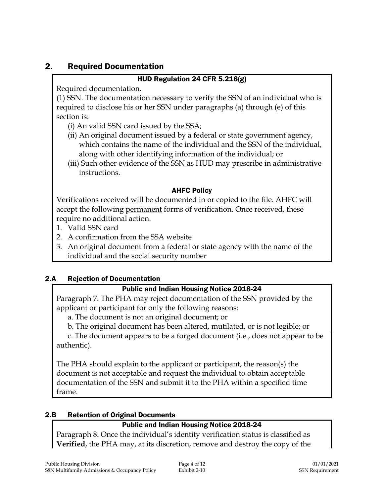## 2. Required Documentation

#### HUD Regulation 24 CFR 5.216(g)

Required documentation.

(1) SSN. The documentation necessary to verify the SSN of an individual who is required to disclose his or her SSN under paragraphs (a) through (e) of this section is:

- (i) An valid SSN card issued by the SSA;
- (ii) An original document issued by a federal or state government agency, which contains the name of the individual and the SSN of the individual, along with other identifying information of the individual; or
- (iii) Such other evidence of the SSN as HUD may prescribe in administrative instructions.

#### AHFC Policy

Verifications received will be documented in or copied to the file. AHFC will accept the following permanent forms of verification. Once received, these require no additional action.

- 1. Valid SSN card
- 2. A confirmation from the SSA website
- 3. An original document from a federal or state agency with the name of the individual and the social security number

## 2.A Rejection of Documentation

## Public and Indian Housing Notice 2018-24

Paragraph 7. The PHA may reject documentation of the SSN provided by the applicant or participant for only the following reasons:

a. The document is not an original document; or

b. The original document has been altered, mutilated, or is not legible; or

c. The document appears to be a forged document (i.e., does not appear to be authentic).

The PHA should explain to the applicant or participant, the reason(s) the document is not acceptable and request the individual to obtain acceptable documentation of the SSN and submit it to the PHA within a specified time frame.

## 2.B Retention of Original Documents

## Public and Indian Housing Notice 2018-24

Paragraph 8. Once the individual's identity verification status is classified as **Verified**, the PHA may, at its discretion, remove and destroy the copy of the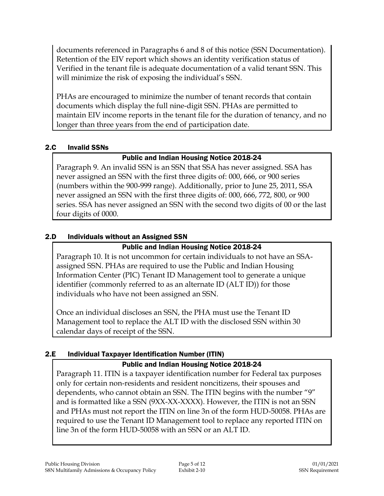documents referenced in Paragraphs 6 and 8 of this notice (SSN Documentation). Retention of the EIV report which shows an identity verification status of Verified in the tenant file is adequate documentation of a valid tenant SSN. This will minimize the risk of exposing the individual's SSN.

PHAs are encouraged to minimize the number of tenant records that contain documents which display the full nine-digit SSN. PHAs are permitted to maintain EIV income reports in the tenant file for the duration of tenancy, and no longer than three years from the end of participation date.

#### 2.C Invalid SSNs

## Public and Indian Housing Notice 2018-24

Paragraph 9. An invalid SSN is an SSN that SSA has never assigned. SSA has never assigned an SSN with the first three digits of: 000, 666, or 900 series (numbers within the 900-999 range). Additionally, prior to June 25, 2011, SSA never assigned an SSN with the first three digits of: 000, 666, 772, 800, or 900 series. SSA has never assigned an SSN with the second two digits of 00 or the last four digits of 0000.

## 2.D Individuals without an Assigned SSN

#### Public and Indian Housing Notice 2018-24

Paragraph 10. It is not uncommon for certain individuals to not have an SSAassigned SSN. PHAs are required to use the Public and Indian Housing Information Center (PIC) Tenant ID Management tool to generate a unique identifier (commonly referred to as an alternate ID (ALT ID)) for those individuals who have not been assigned an SSN.

Once an individual discloses an SSN, the PHA must use the Tenant ID Management tool to replace the ALT ID with the disclosed SSN within 30 calendar days of receipt of the SSN.

## 2.E Individual Taxpayer Identification Number (ITIN)

## Public and Indian Housing Notice 2018-24

Paragraph 11. ITIN is a taxpayer identification number for Federal tax purposes only for certain non-residents and resident noncitizens, their spouses and dependents, who cannot obtain an SSN. The ITIN begins with the number "9" and is formatted like a SSN (9XX-XX-XXXX). However, the ITIN is not an SSN and PHAs must not report the ITIN on line 3n of the form HUD-50058. PHAs are required to use the Tenant ID Management tool to replace any reported ITIN on line 3n of the form HUD-50058 with an SSN or an ALT ID.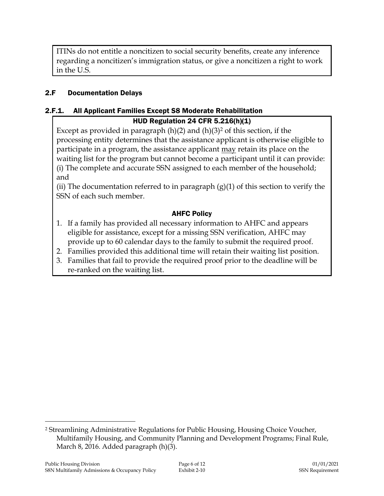ITINs do not entitle a noncitizen to social security benefits, create any inference regarding a noncitizen's immigration status, or give a noncitizen a right to work in the U.S.

#### 2.F Documentation Delays

#### 2.F.1. All Applicant Families Except S8 Moderate Rehabilitation

#### HUD Regulation 24 CFR 5.216(h)(1)

Except as provided in paragraph  $(h)(2)$  and  $(h)(3)^2$  of this section, if the processing entity determines that the assistance applicant is otherwise eligible to participate in a program, the assistance applicant may retain its place on the waiting list for the program but cannot become a participant until it can provide: (i) The complete and accurate SSN assigned to each member of the household; and

(ii) The documentation referred to in paragraph  $(g)(1)$  of this section to verify the SSN of each such member.

#### AHFC Policy

- 1. If a family has provided all necessary information to AHFC and appears eligible for assistance, except for a missing SSN verification, AHFC may provide up to 60 calendar days to the family to submit the required proof.
- 2. Families provided this additional time will retain their waiting list position.
- 3. Families that fail to provide the required proof prior to the deadline will be re-ranked on the waiting list.

 $\overline{a}$ 

<sup>2</sup> Streamlining Administrative Regulations for Public Housing, Housing Choice Voucher, Multifamily Housing, and Community Planning and Development Programs; Final Rule, March 8, 2016. Added paragraph (h)(3).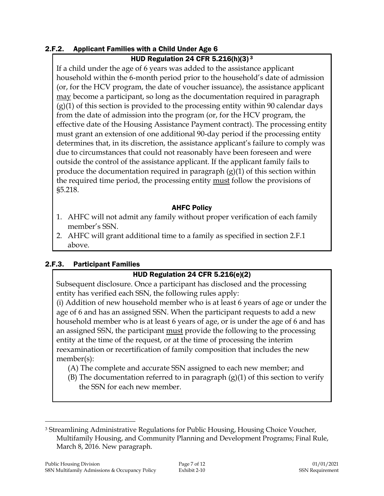#### 2.F.2. Applicant Families with a Child Under Age 6

#### HUD Regulation 24 CFR 5.216(h)(3) $3$

If a child under the age of 6 years was added to the assistance applicant household within the 6-month period prior to the household's date of admission (or, for the HCV program, the date of voucher issuance), the assistance applicant may become a participant, so long as the documentation required in paragraph  $(g)(1)$  of this section is provided to the processing entity within 90 calendar days from the date of admission into the program (or, for the HCV program, the effective date of the Housing Assistance Payment contract). The processing entity must grant an extension of one additional 90-day period if the processing entity determines that, in its discretion, the assistance applicant's failure to comply was due to circumstances that could not reasonably have been foreseen and were outside the control of the assistance applicant. If the applicant family fails to produce the documentation required in paragraph  $(g)(1)$  of this section within the required time period, the processing entity must follow the provisions of §5.218.

#### AHFC Policy

- 1. AHFC will not admit any family without proper verification of each family member's SSN.
- 2. AHFC will grant additional time to a family as specified in section 2.F.1 above.

#### 2.F.3. Participant Families

## HUD Regulation 24 CFR 5.216(e)(2)

Subsequent disclosure. Once a participant has disclosed and the processing entity has verified each SSN, the following rules apply:

(i) Addition of new household member who is at least 6 years of age or under the age of 6 and has an assigned SSN. When the participant requests to add a new household member who is at least 6 years of age, or is under the age of 6 and has an assigned SSN, the participant must provide the following to the processing entity at the time of the request, or at the time of processing the interim reexamination or recertification of family composition that includes the new member(s):

- (A) The complete and accurate SSN assigned to each new member; and
- (B) The documentation referred to in paragraph  $(g)(1)$  of this section to verify the SSN for each new member.

 $\overline{a}$ <sup>3</sup> Streamlining Administrative Regulations for Public Housing, Housing Choice Voucher, Multifamily Housing, and Community Planning and Development Programs; Final Rule, March 8, 2016. New paragraph.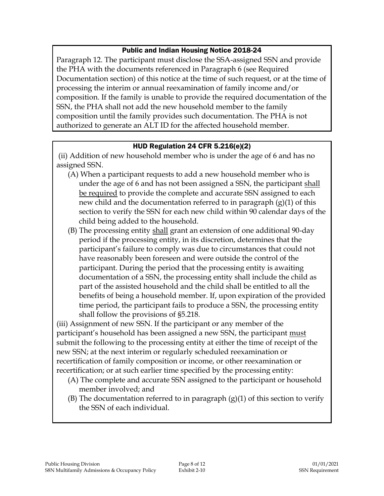#### Public and Indian Housing Notice 2018-24

Paragraph 12. The participant must disclose the SSA-assigned SSN and provide the PHA with the documents referenced in Paragraph 6 (see Required Documentation section) of this notice at the time of such request, or at the time of processing the interim or annual reexamination of family income and/or composition. If the family is unable to provide the required documentation of the SSN, the PHA shall not add the new household member to the family composition until the family provides such documentation. The PHA is not authorized to generate an ALT ID for the affected household member.

#### HUD Regulation 24 CFR 5.216(e)(2)

(ii) Addition of new household member who is under the age of 6 and has no assigned SSN.

- (A) When a participant requests to add a new household member who is under the age of 6 and has not been assigned a SSN, the participant shall be required to provide the complete and accurate SSN assigned to each new child and the documentation referred to in paragraph (g)(1) of this section to verify the SSN for each new child within 90 calendar days of the child being added to the household.
- (B) The processing entity shall grant an extension of one additional 90-day period if the processing entity, in its discretion, determines that the participant's failure to comply was due to circumstances that could not have reasonably been foreseen and were outside the control of the participant. During the period that the processing entity is awaiting documentation of a SSN, the processing entity shall include the child as part of the assisted household and the child shall be entitled to all the benefits of being a household member. If, upon expiration of the provided time period, the participant fails to produce a SSN, the processing entity shall follow the provisions of §5.218.

(iii) Assignment of new SSN. If the participant or any member of the participant's household has been assigned a new SSN, the participant must submit the following to the processing entity at either the time of receipt of the new SSN; at the next interim or regularly scheduled reexamination or recertification of family composition or income, or other reexamination or recertification; or at such earlier time specified by the processing entity:

- (A) The complete and accurate SSN assigned to the participant or household member involved; and
- (B) The documentation referred to in paragraph  $(g)(1)$  of this section to verify the SSN of each individual.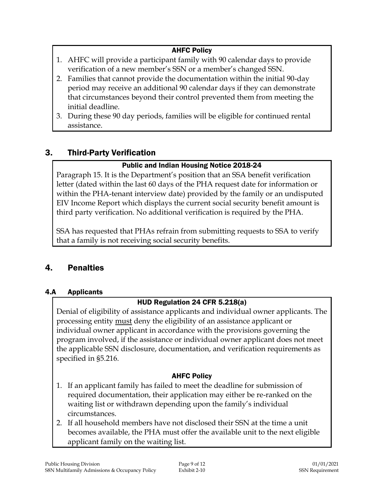## AHFC Policy

- 1. AHFC will provide a participant family with 90 calendar days to provide verification of a new member's SSN or a member's changed SSN.
- 2. Families that cannot provide the documentation within the initial 90-day period may receive an additional 90 calendar days if they can demonstrate that circumstances beyond their control prevented them from meeting the initial deadline.
- 3. During these 90 day periods, families will be eligible for continued rental assistance.

## 3. Third-Party Verification

#### Public and Indian Housing Notice 2018-24

Paragraph 15. It is the Department's position that an SSA benefit verification letter (dated within the last 60 days of the PHA request date for information or within the PHA-tenant interview date) provided by the family or an undisputed EIV Income Report which displays the current social security benefit amount is third party verification. No additional verification is required by the PHA.

SSA has requested that PHAs refrain from submitting requests to SSA to verify that a family is not receiving social security benefits.

## 4. Penalties

#### 4.A Applicants

## HUD Regulation 24 CFR 5.218(a)

Denial of eligibility of assistance applicants and individual owner applicants. The processing entity must deny the eligibility of an assistance applicant or individual owner applicant in accordance with the provisions governing the program involved, if the assistance or individual owner applicant does not meet the applicable SSN disclosure, documentation, and verification requirements as specified in §5.216.

- 1. If an applicant family has failed to meet the deadline for submission of required documentation, their application may either be re-ranked on the waiting list or withdrawn depending upon the family's individual circumstances.
- 2. If all household members have not disclosed their SSN at the time a unit becomes available, the PHA must offer the available unit to the next eligible applicant family on the waiting list.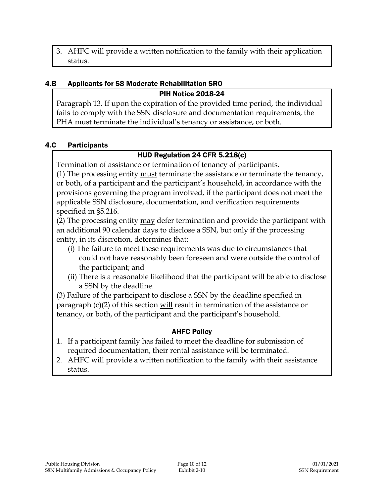3. AHFC will provide a written notification to the family with their application status.

## 4.B Applicants for S8 Moderate Rehabilitation SRO

PIH Notice 2018-24

Paragraph 13. If upon the expiration of the provided time period, the individual fails to comply with the SSN disclosure and documentation requirements, the PHA must terminate the individual's tenancy or assistance, or both.

## 4.C Participants

## HUD Regulation 24 CFR 5.218(c)

Termination of assistance or termination of tenancy of participants.

(1) The processing entity must terminate the assistance or terminate the tenancy, or both, of a participant and the participant's household, in accordance with the provisions governing the program involved, if the participant does not meet the applicable SSN disclosure, documentation, and verification requirements specified in §5.216.

(2) The processing entity may defer termination and provide the participant with an additional 90 calendar days to disclose a SSN, but only if the processing entity, in its discretion, determines that:

- (i) The failure to meet these requirements was due to circumstances that could not have reasonably been foreseen and were outside the control of the participant; and
- (ii) There is a reasonable likelihood that the participant will be able to disclose a SSN by the deadline.

(3) Failure of the participant to disclose a SSN by the deadline specified in paragraph (c)(2) of this section will result in termination of the assistance or tenancy, or both, of the participant and the participant's household.

- 1. If a participant family has failed to meet the deadline for submission of required documentation, their rental assistance will be terminated.
- 2. AHFC will provide a written notification to the family with their assistance status.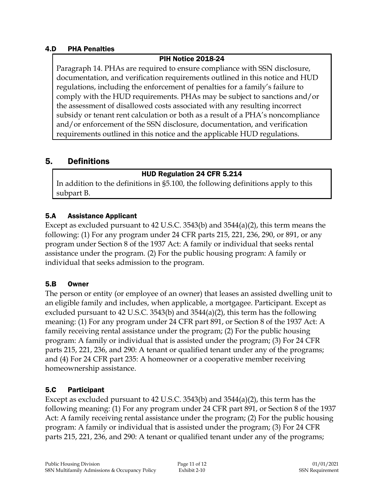#### 4.D PHA Penalties

#### PIH Notice 2018-24

Paragraph 14. PHAs are required to ensure compliance with SSN disclosure, documentation, and verification requirements outlined in this notice and HUD regulations, including the enforcement of penalties for a family's failure to comply with the HUD requirements. PHAs may be subject to sanctions and/or the assessment of disallowed costs associated with any resulting incorrect subsidy or tenant rent calculation or both as a result of a PHA's noncompliance and/or enforcement of the SSN disclosure, documentation, and verification requirements outlined in this notice and the applicable HUD regulations.

## 5. Definitions

#### HUD Regulation 24 CFR 5.214

In addition to the definitions in §5.100, the following definitions apply to this subpart B.

#### 5.A Assistance Applicant

Except as excluded pursuant to 42 U.S.C. 3543(b) and 3544(a)(2), this term means the following: (1) For any program under 24 CFR parts 215, 221, 236, 290, or 891, or any program under Section 8 of the 1937 Act: A family or individual that seeks rental assistance under the program. (2) For the public housing program: A family or individual that seeks admission to the program.

#### 5.B Owner

The person or entity (or employee of an owner) that leases an assisted dwelling unit to an eligible family and includes, when applicable, a mortgagee. Participant. Except as excluded pursuant to 42 U.S.C. 3543(b) and 3544(a)(2), this term has the following meaning: (1) For any program under 24 CFR part 891, or Section 8 of the 1937 Act: A family receiving rental assistance under the program; (2) For the public housing program: A family or individual that is assisted under the program; (3) For 24 CFR parts 215, 221, 236, and 290: A tenant or qualified tenant under any of the programs; and (4) For 24 CFR part 235: A homeowner or a cooperative member receiving homeownership assistance.

## 5.C Participant

Except as excluded pursuant to 42 U.S.C. 3543(b) and 3544(a)(2), this term has the following meaning: (1) For any program under 24 CFR part 891, or Section 8 of the 1937 Act: A family receiving rental assistance under the program; (2) For the public housing program: A family or individual that is assisted under the program; (3) For 24 CFR parts 215, 221, 236, and 290: A tenant or qualified tenant under any of the programs;